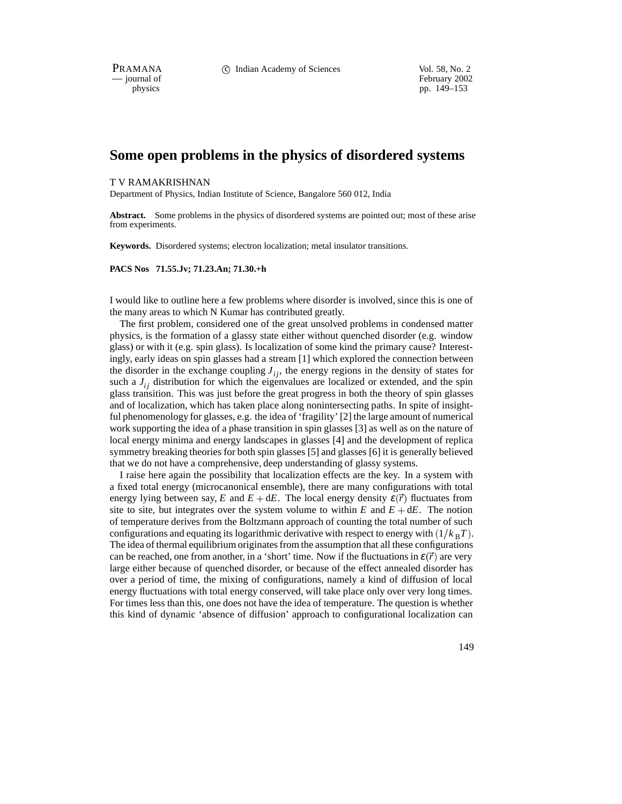PRAMANA 
<sup>C</sup> Indian Academy of Sciences Vol. 58, No. 2<br>
— iournal of February 2002

physics<br>
pp. 149–153<br>
pp. 149–153 pp. 149–153

# **Some open problems in the physics of disordered systems**

## T V RAMAKRISHNAN

Department of Physics, Indian Institute of Science, Bangalore 560 012, India

**Abstract.** Some problems in the physics of disordered systems are pointed out; most of these arise from experiments.

**Keywords.** Disordered systems; electron localization; metal insulator transitions.

## **PACS Nos 71.55.Jv; 71.23.An; 71.30.+h**

I would like to outline here a few problems where disorder is involved, since this is one of the many areas to which N Kumar has contributed greatly.

The first problem, considered one of the great unsolved problems in condensed matter physics, is the formation of a glassy state either without quenched disorder (e.g. window glass) or with it (e.g. spin glass). Is localization of some kind the primary cause? Interestingly, early ideas on spin glasses had a stream [1] which explored the connection between the disorder in the exchange coupling  $J_{ij}$ , the energy regions in the density of states for such a  $J_{ij}$  distribution for which the eigenvalues are localized or extended, and the spin glass transition. This was just before the great progress in both the theory of spin glasses and of localization, which has taken place along nonintersecting paths. In spite of insightful phenomenology for glasses, e.g. the idea of 'fragility' [2] the large amount of numerical work supporting the idea of a phase transition in spin glasses [3] as well as on the nature of local energy minima and energy landscapes in glasses [4] and the development of replica symmetry breaking theories for both spin glasses [5] and glasses [6] it is generally believed that we do not have a comprehensive, deep understanding of glassy systems.

I raise here again the possibility that localization effects are the key. In a system with a fixed total energy (microcanonical ensemble), there are many configurations with total energy lying between say, *E* and  $E + dE$ . The local energy density  $\varepsilon(\vec{r})$  fluctuates from site to site, but integrates over the system volume to within  $E$  and  $E + dE$ . The notion of temperature derives from the Boltzmann approach of counting the total number of such configurations and equating its logarithmic derivative with respect to energy with  $(1/k_B T)$ . The idea of thermal equilibrium originates from the assumption that all these configurations can be reached, one from another, in a 'short' time. Now if the fluctuations in  $\varepsilon(\vec{r})$  are very large either because of quenched disorder, or because of the effect annealed disorder has over a period of time, the mixing of configurations, namely a kind of diffusion of local energy fluctuations with total energy conserved, will take place only over very long times. For times less than this, one does not have the idea of temperature. The question is whether this kind of dynamic 'absence of diffusion' approach to configurational localization can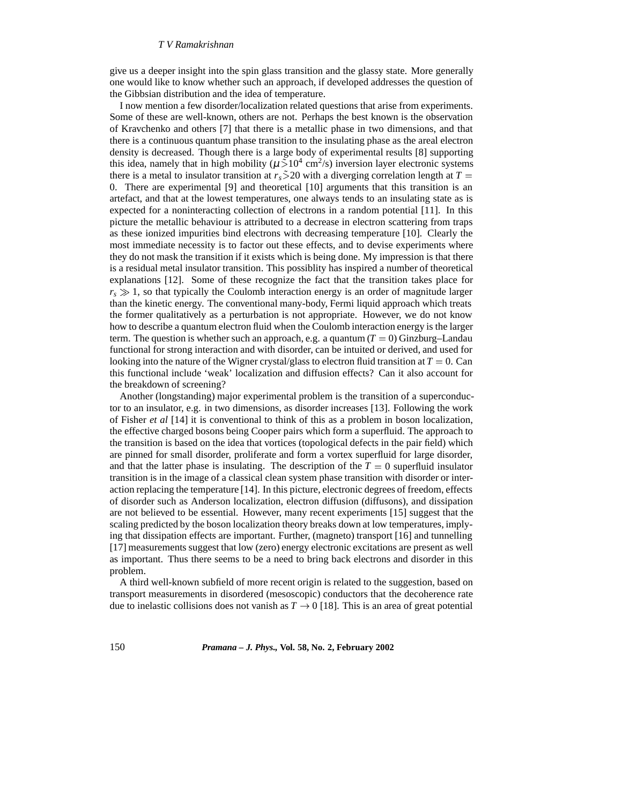give us a deeper insight into the spin glass transition and the glassy state. More generally one would like to know whether such an approach, if developed addresses the question of the Gibbsian distribution and the idea of temperature.

I now mention a few disorder/localization related questions that arise from experiments. Some of these are well-known, others are not. Perhaps the best known is the observation of Kravchenko and others [7] that there is a metallic phase in two dimensions, and that there is a continuous quantum phase transition to the insulating phase as the areal electron density is decreased. Though there is a large body of experimental results [8] supporting this idea, namely that in high mobility ( $\mu \tilde{>} 10^4$  cm<sup>2</sup>/s) inversion layer electronic systems there is a metal to insulator transition at  $r_s \ge 20$  with a diverging correlation length at  $T =$ 0. There are experimental [9] and theoretical [10] arguments that this transition is an artefact, and that at the lowest temperatures, one always tends to an insulating state as is expected for a noninteracting collection of electrons in a random potential [11]. In this picture the metallic behaviour is attributed to a decrease in electron scattering from traps as these ionized impurities bind electrons with decreasing temperature [10]. Clearly the most immediate necessity is to factor out these effects, and to devise experiments where they do not mask the transition if it exists which is being done. My impression is that there is a residual metal insulator transition. This possiblity has inspired a number of theoretical explanations [12]. Some of these recognize the fact that the transition takes place for  $r_s \gg 1$ , so that typically the Coulomb interaction energy is an order of magnitude larger than the kinetic energy. The conventional many-body, Fermi liquid approach which treats the former qualitatively as a perturbation is not appropriate. However, we do not know how to describe a quantum electron fluid when the Coulomb interaction energy is the larger term. The question is whether such an approach, e.g. a quantum  $(T = 0)$  Ginzburg–Landau functional for strong interaction and with disorder, can be intuited or derived, and used for looking into the nature of the Wigner crystal/glass to electron fluid transition at  $T = 0$ . Can this functional include 'weak' localization and diffusion effects? Can it also account for the breakdown of screening?

Another (longstanding) major experimental problem is the transition of a superconductor to an insulator, e.g. in two dimensions, as disorder increases [13]. Following the work of Fisher *et al* [14] it is conventional to think of this as a problem in boson localization, the effective charged bosons being Cooper pairs which form a superfluid. The approach to the transition is based on the idea that vortices (topological defects in the pair field) which are pinned for small disorder, proliferate and form a vortex superfluid for large disorder, and that the latter phase is insulating. The description of the  $T = 0$  superfluid insulator transition is in the image of a classical clean system phase transition with disorder or interaction replacing the temperature [14]. In this picture, electronic degrees of freedom, effects of disorder such as Anderson localization, electron diffusion (diffusons), and dissipation are not believed to be essential. However, many recent experiments [15] suggest that the scaling predicted by the boson localization theory breaks down at low temperatures, implying that dissipation effects are important. Further, (magneto) transport [16] and tunnelling [17] measurements suggest that low (zero) energy electronic excitations are present as well as important. Thus there seems to be a need to bring back electrons and disorder in this problem.

A third well-known subfield of more recent origin is related to the suggestion, based on transport measurements in disordered (mesoscopic) conductors that the decoherence rate due to inelastic collisions does not vanish as  $T \rightarrow 0$  [18]. This is an area of great potential

150 *Pramana – J. Phys.,* **Vol. 58, No. 2, February 2002**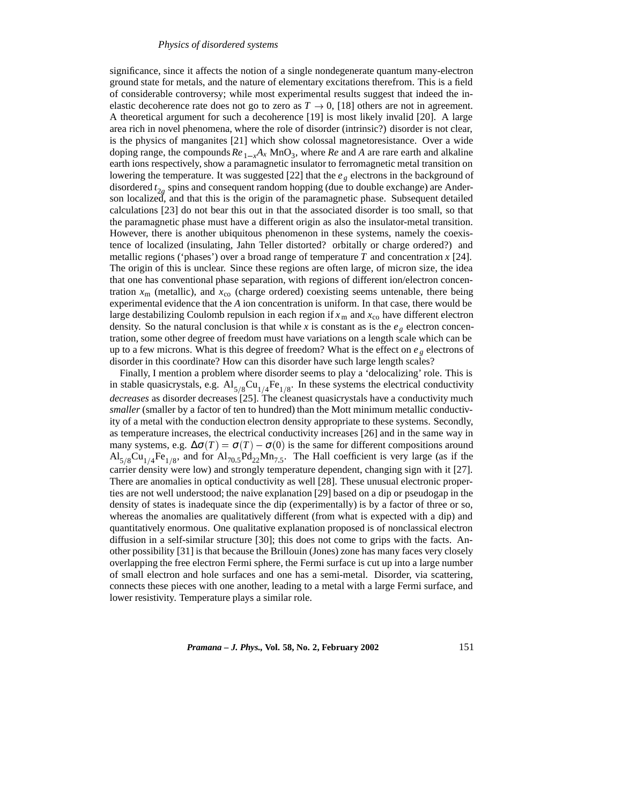significance, since it affects the notion of a single nondegenerate quantum many-electron ground state for metals, and the nature of elementary excitations therefrom. This is a field of considerable controversy; while most experimental results suggest that indeed the inelastic decoherence rate does not go to zero as  $T \rightarrow 0$ , [18] others are not in agreement. A theoretical argument for such a decoherence [19] is most likely invalid [20]. A large area rich in novel phenomena, where the role of disorder (intrinsic?) disorder is not clear, is the physics of manganites [21] which show colossal magnetoresistance. Over a wide doping range, the compounds  $Re_{1-x}A_x$  MnO<sub>3</sub>, where  $Re$  and A are rare earth and alkaline earth ions respectively, show a paramagnetic insulator to ferromagnetic metal transition on lowering the temperature. It was suggested [22] that the *e <sup>g</sup>* electrons in the background of disordered *t* <sup>2</sup>*<sup>g</sup>* spins and consequent random hopping (due to double exchange) are Anderson localized, and that this is the origin of the paramagnetic phase. Subsequent detailed calculations [23] do not bear this out in that the associated disorder is too small, so that the paramagnetic phase must have a different origin as also the insulator-metal transition. However, there is another ubiquitous phenomenon in these systems, namely the coexistence of localized (insulating, Jahn Teller distorted? orbitally or charge ordered?) and metallic regions ('phases') over a broad range of temperature *T* and concentration *x* [24]. The origin of this is unclear. Since these regions are often large, of micron size, the idea that one has conventional phase separation, with regions of different ion/electron concentration  $x_m$  (metallic), and  $x_{\rm co}$  (charge ordered) coexisting seems untenable, there being experimental evidence that the *A* ion concentration is uniform. In that case, there would be large destabilizing Coulomb repulsion in each region if  $x_m$  and  $x_{\rm co}$  have different electron density. So the natural conclusion is that while *x* is constant as is the  $e_g$  electron concentration, some other degree of freedom must have variations on a length scale which can be up to a few microns. What is this degree of freedom? What is the effect on *e <sup>g</sup>* electrons of disorder in this coordinate? How can this disorder have such large length scales?

Finally, I mention a problem where disorder seems to play a 'delocalizing' role. This is in stable quasicrystals, e.g.  $Al_{5/8}Cu_{1/4}Fe_{1/8}$ . In these systems the electrical conductivity *decreases* as disorder decreases [25]. The cleanest quasicrystals have a conductivity much *smaller* (smaller by a factor of ten to hundred) than the Mott minimum metallic conductivity of a metal with the conduction electron density appropriate to these systems. Secondly, as temperature increases, the electrical conductivity increases [26] and in the same way in many systems, e.g.  $\Delta \sigma(T) = \sigma(T) - \sigma(0)$  is the same for different compositions around  $Al_{5/8}Cu_{1/4}Fe_{1/8}$ , and for  $Al_{70.5}Pd_{22}Mn_{7.5}$ . The Hall coefficient is very large (as if the carrier density were low) and strongly temperature dependent, changing sign with it [27]. There are anomalies in optical conductivity as well [28]. These unusual electronic properties are not well understood; the naive explanation [29] based on a dip or pseudogap in the density of states is inadequate since the dip (experimentally) is by a factor of three or so, whereas the anomalies are qualitatively different (from what is expected with a dip) and quantitatively enormous. One qualitative explanation proposed is of nonclassical electron diffusion in a self-similar structure [30]; this does not come to grips with the facts. Another possibility [31] is that because the Brillouin (Jones) zone has many faces very closely overlapping the free electron Fermi sphere, the Fermi surface is cut up into a large number of small electron and hole surfaces and one has a semi-metal. Disorder, via scattering, connects these pieces with one another, leading to a metal with a large Fermi surface, and lower resistivity. Temperature plays a similar role.

*Pramana – J. Phys.,* **Vol. 58, No. 2, February 2002** 151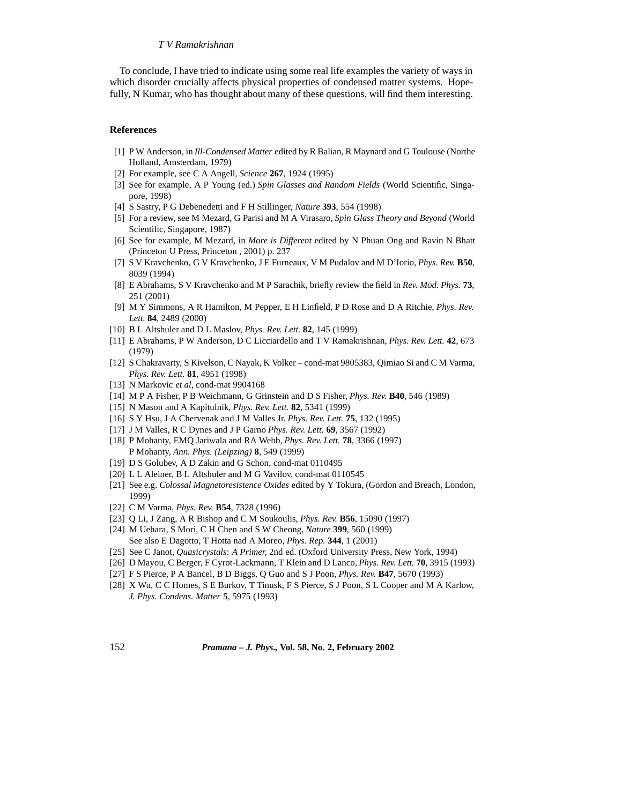#### *T V Ramakrishnan*

To conclude, I have tried to indicate using some real life examples the variety of ways in which disorder crucially affects physical properties of condensed matter systems. Hopefully, N Kumar, who has thought about many of these questions, will find them interesting.

#### **References**

- [1] P W Anderson, in *Ill-Condensed Matter* edited by R Balian, R Maynard and G Toulouse (Northe Holland, Amsterdam, 1979)
- [2] For example, see C A Angell, *Science* **267**, 1924 (1995)
- [3] See for example, A P Young (ed.) *Spin Glasses and Random Fields* (World Scientific, Singapore, 1998)
- [4] S Sastry, P G Debenedetti and F H Stillinger, *Nature* **393**, 554 (1998)
- [5] For a review, see M Mezard, G Parisi and M A Virasaro, *Spin Glass Theory and Beyond* (World Scientific, Singapore, 1987)
- [6] See for example, M Mezard, in *More is Different* edited by N Phuan Ong and Ravin N Bhatt (Princeton U Press, Princeton , 2001) p. 237
- [7] S V Kravchenko, G V Kravchenko, J E Furneaux, V M Pudalov and M D'Iorio, *Phys. Rev.* **B50**, 8039 (1994)
- [8] E Abrahams, S V Kravchenko and M P Sarachik, briefly review the field in *Rev. Mod. Phys.* **73**, 251 (2001)
- [9] M Y Simmons, A R Hamilton, M Pepper, E H Linfield, P D Rose and D A Ritchie, *Phys. Rev. Lett.* **84**, 2489 (2000)
- [10] B L Altshuler and D L Maslov, *Phys. Rev. Lett.* **82**, 145 (1999)
- [11] E Abrahams, P W Anderson, D C Licciardello and T V Ramakrishnan, *Phys. Rev. Lett.* **42**, 673 (1979)
- [12] S Chakravarty, S Kivelson, C Nayak, K Volker cond-mat 9805383, Qimiao Si and C M Varma, *Phys. Rev. Lett.* **81**, 4951 (1998)
- [13] N Markovic *et al*, cond-mat 9904168
- [14] M P A Fisher, P B Weichmann, G Grinstein and D S Fisher, *Phys. Rev.* **B40**, 546 (1989)
- [15] N Mason and A Kapitulnik, *Phys. Rev. Lett.* **82**, 5341 (1999)
- [16] S Y Hsu, J A Chervenak and J M Valles Jr. *Phys. Rev. Lett.* **75**, 132 (1995)
- [17] J M Valles, R C Dynes and J P Garno *Phys. Rev. Lett.* **69**, 3567 (1992)
- [18] P Mohanty, EMQ Jariwala and RA Webb, *Phys. Rev. Lett.* **78**, 3366 (1997) P Mohanty, *Ann. Phys. (Leipzing)* **8**, 549 (1999)
- [19] D S Golubev, A D Zakin and G Schon, cond-mat 0110495
- [20] L L Aleiner, B L Altshuler and M G Vavilov, cond-mat 0110545
- [21] See e.g. *Colossal Magnetoresistence Oxides* edited by Y Tokura, (Gordon and Breach, London, 1999)
- [22] C M Varma, *Phys. Rev.* **B54**, 7328 (1996)
- [23] Q Li, J Zang, A R Bishop and C M Soukoulis, *Phys. Rev.* **B56**, 15090 (1997)
- [24] M Uehara, S Mori, C H Chen and S W Cheong, *Nature* **399**, 560 (1999) See also E Dagotto, T Hotta nad A Moreo, *Phys. Rep.* **344**, 1 (2001)
- [25] See C Janot, *Quasicrystals*: *A Primer,* 2nd ed. (Oxford University Press, New York, 1994)
- [26] D Mayou, C Berger, F Cyrot-Lackmann, T Klein and D Lanco, *Phys. Rev. Lett.* **70**, 3915 (1993)
- [27] F S Pierce, P A Bancel, B D Biggs, Q Guo and S J Poon, *Phys. Rev.* **B47**, 5670 (1993)
- [28] X Wu, C C Homes, S E Burkov, T Tinusk, F S Pierce, S J Poon, S L Cooper and M A Karlow, *J. Phys. Condens. Matter* **5**, 5975 (1993)

152 *Pramana – J. Phys.,* **Vol. 58, No. 2, February 2002**